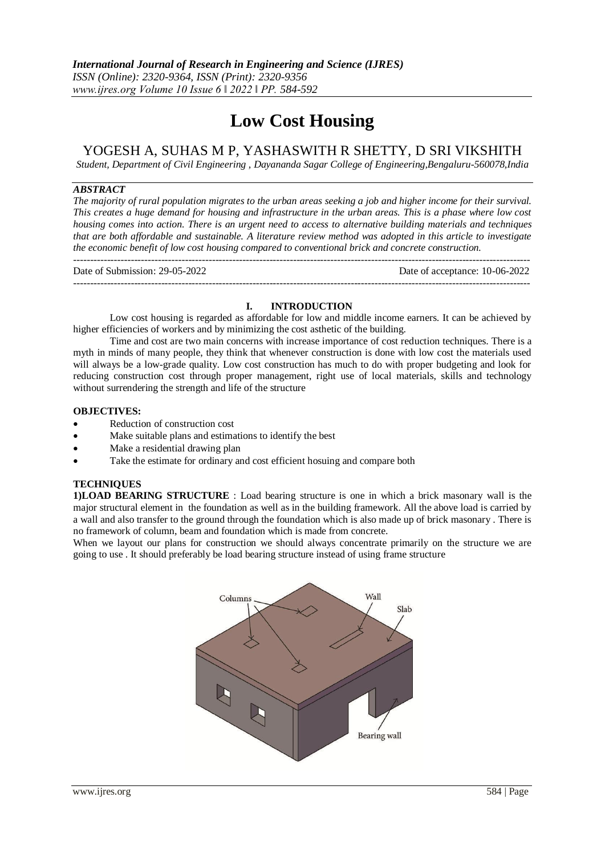# **Low Cost Housing**

## YOGESH A, SUHAS M P, YASHASWITH R SHETTY, D SRI VIKSHITH

*Student, Department of Civil Engineering , Dayananda Sagar College of Engineering,Bengaluru-560078,India*

#### *ABSTRACT*

*The majority of rural population migrates to the urban areas seeking a job and higher income for their survival. This creates a huge demand for housing and infrastructure in the urban areas. This is a phase where low cost housing comes into action. There is an urgent need to access to alternative building materials and techniques that are both affordable and sustainable. A literature review method was adopted in this article to investigate the economic benefit of low cost housing compared to conventional brick and concrete construction.*

--------------------------------------------------------------------------------------------------------------------------------------- Date of Submission: 29-05-2022 Date of acceptance: 10-06-2022

---------------------------------------------------------------------------------------------------------------------------------------

#### **I. INTRODUCTION**

Low cost housing is regarded as affordable for low and middle income earners. It can be achieved by higher efficiencies of workers and by minimizing the cost asthetic of the building.

Time and cost are two main concerns with increase importance of cost reduction techniques. There is a myth in minds of many people, they think that whenever construction is done with low cost the materials used will always be a low-grade quality. Low cost construction has much to do with proper budgeting and look for reducing construction cost through proper management, right use of local materials, skills and technology without surrendering the strength and life of the structure

#### **OBJECTIVES:**

- Reduction of construction cost
- Make suitable plans and estimations to identify the best
- Make a residential drawing plan
- Take the estimate for ordinary and cost efficient hosuing and compare both

#### **TECHNIQUES**

**1)LOAD BEARING STRUCTURE** : Load bearing structure is one in which a brick masonary wall is the major structural element in the foundation as well as in the building framework. All the above load is carried by a wall and also transfer to the ground through the foundation which is also made up of brick masonary . There is no framework of column, beam and foundation which is made from concrete.

When we layout our plans for construction we should always concentrate primarily on the structure we are going to use . It should preferably be load bearing structure instead of using frame structure

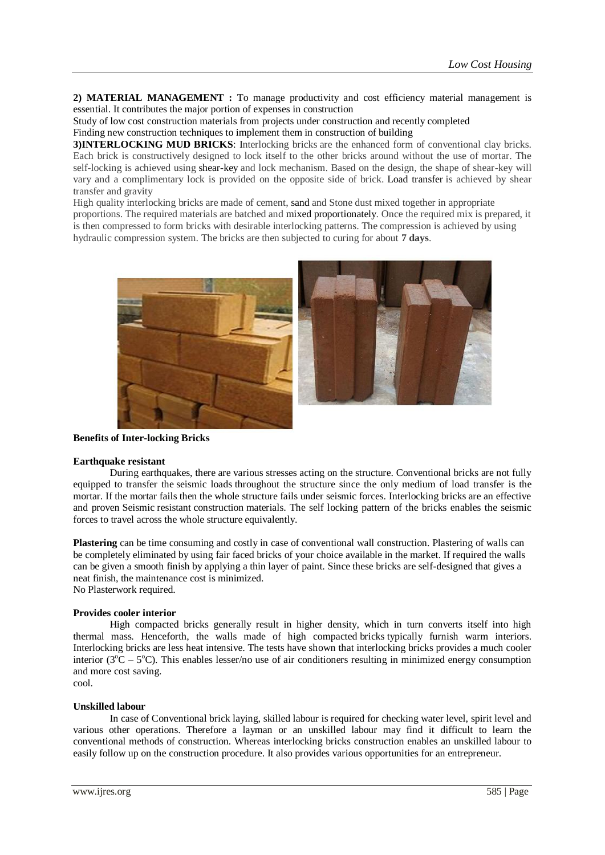2) **MATERIAL MANAGEMENT** : To manage productivity and cost efficiency material management is essential. It contributes the major portion of expenses in construction

Study of low cost construction materials from projects under construction and recently completed Finding new construction techniques to implement them in construction of building

**3)INTERLOCKING MUD BRICKS**: Interlocking bricks are the enhanced form of conventional clay bricks. Each brick is constructively designed to lock itself to the other bricks around without the use of mortar. The self-locking is achieved using [shear-key](https://civildigital.com/punching-shear-design-punching-shear-forces/) and lock mechanism. Based on the design, the shape of shear-key will vary and a complimentary lock is provided on the opposite side of brick. Load [transfer](https://civildigital.com/shear-wall-functions-loads-transfer-mechanism-design-example-shear-wall/) is achieved by shear transfer and gravity

High quality interlocking bricks are made of cement, [sand](https://civildigital.com/ground-improvement-with-sand-compaction-piles/) and Stone dust mixed together in appropriate proportions. The required materials are batched and mixed [proportionately.](https://civildigital.com/steps-involved-mix-proportioning-per-102622009-solved-example/) Once the required mix is prepared, it is then compressed to form bricks with desirable interlocking patterns. The compression is achieved by using hydraulic compression system. The bricks are then subjected to curing for about **7 days**.



**Benefits of Inter-locking Bricks**

#### **Earthquake resistant**

During earthquakes, there are various stresses acting on the structure. Conventional bricks are not fully equipped to transfer the seismic loads throughout the structure since the only medium of load transfer is the mortar. If the mortar fails then the whole structure fails under seismic forces. Interlocking bricks are an effective and proven Seismic resistant [construction](https://www.indiacadworks.com/blog/new-generation-architectural-designs-for-seismic-resistant-buildings/) materials. The self locking pattern of the bricks enables the seismic forces to travel across the whole structure equivalently.

**Plastering** can be time consuming and costly in case of conventional wall [construction.](https://civildigital.com/retaining-wall-types-retaining-walls-design-considerations/) Plastering of walls can be completely eliminated by using fair faced [bricks](https://civildigital.com/brick-masonry-inspection-checklist-for-brickwork-site-supervision-tips/) of your choice available in the market. If required the walls can be given a smooth finish by applying a thin layer of paint. Since these bricks are self-designed that gives a neat finish, the maintenance cost is minimized. No Plasterwork required.

#### **Provides cooler interior**

High compacted bricks generally result in higher density, which in turn converts itself into high thermal mass. Henceforth, the walls made of high compacted [bricks](https://civildigital.com/testing-bricks-at-site-quality-of-clay-bricks-visual-and-experimental-tests-for-quality-bricks/) typically furnish warm interiors. Interlocking bricks are less heat intensive. The tests have shown that interlocking bricks provides a much cooler interior ( $3^{\circ}\text{C} - 5^{\circ}\text{C}$ ). This enables lesser/no use of air conditioners resulting in minimized energy consumption and more cost saving. cool.

#### **Unskilled labour**

In case of Conventional brick laying, skilled labour is required for checking water level, spirit level and various other operations. Therefore a layman or an unskilled labour may find it difficult to learn the conventional methods of construction. Whereas interlocking bricks construction enables an unskilled labour to easily follow up on the [construction](https://civildigital.com/modular-construction-technique-construction-process-example-projects/) procedure. It also provides various opportunities for an entrepreneur.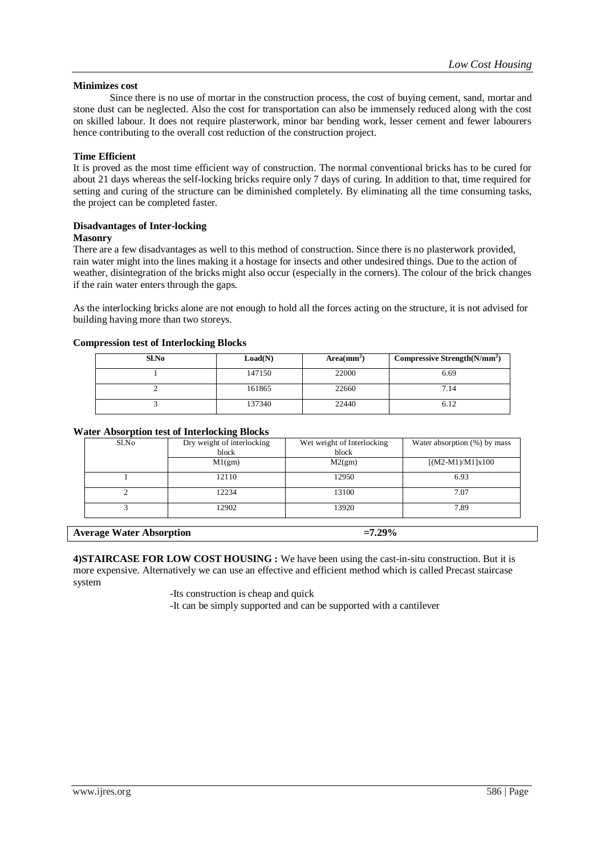#### **Minimizes cost**

Since there is no use of mortar in the construction process, the cost of buying cement, sand, [mortar](https://engineeringcivil.org/articles/building-materials/cement-mortar-estimation-of-cement-sand-water-in-mortar-types-of-mortar-applications/) and stone dust can be neglected. Also the cost for transportation can also be immensely reduced along with the cost on skilled labour. It does not require plasterwork, minor bar bending work, lesser cement and fewer labourers hence contributing to the overall cost reduction of the construction project.

#### **Time Efficient**

It is proved as the most time efficient way of construction. The normal conventional bricks has to be cured for about 21 days whereas the self-locking bricks require only 7 days of curing. In addition to that, time required for setting and curing of the structure can be diminished completely. By eliminating all the time consuming tasks, the project can be completed faster.

## **Disadvantages of Inter-locking**

#### **Masonry**

There are a few disadvantages as well to this method of construction. Since there is no [plasterwork](https://civildigital.com/use-of-synthetic-fibres-in-concrete-flooring-and-plastering-advantages/) provided, rain water might into the lines making it a hostage for insects and other undesired things. Due to the action of weather, disintegration of the bricks might also occur (especially in the corners). The colour of the brick changes if the rain [water](https://civildigital.com/basement-waterproofing-techniques-procedure-internal-external/) enters through the gaps.

As the interlocking bricks alone are not enough to hold all the forces acting on the structure, it is not advised for building having more than two storeys.

#### **Compression test of Interlocking Blocks**

| Sl.No | Load(N) | Area(mm <sup>2</sup> ) | Compressive Strength $(N/mm2)$ |
|-------|---------|------------------------|--------------------------------|
|       | 147150  | 22000                  | 6.69                           |
|       | 161865  | 22660                  | 7.14                           |
|       | 137340  | 22440                  | 6.12                           |

#### **Water Absorption test of Interlocking Blocks**

| Sl.No | Dry weight of interlocking<br>block | Wet weight of Interlocking<br>block | Water absorption (%) by mass |
|-------|-------------------------------------|-------------------------------------|------------------------------|
|       | M1(gm)                              | M2(gm)                              | $[(M2-M1)/M1]x100$           |
|       | 12110                               | 12950                               | 6.93                         |
|       | 12234                               | 13100                               | 7.07                         |
|       | 12902                               | 13920                               | 7.89                         |
|       |                                     |                                     |                              |

Average Water Absorption  $=7.29\%$ 

**4)STAIRCASE FOR LOW COST HOUSING :** We have been using the cast-in-situ construction. But it is more expensive. Alternatively we can use an effective and efficient method which is called Precast staircase system

-Its construction is cheap and quick

-It can be simply supported and can be supported with a cantilever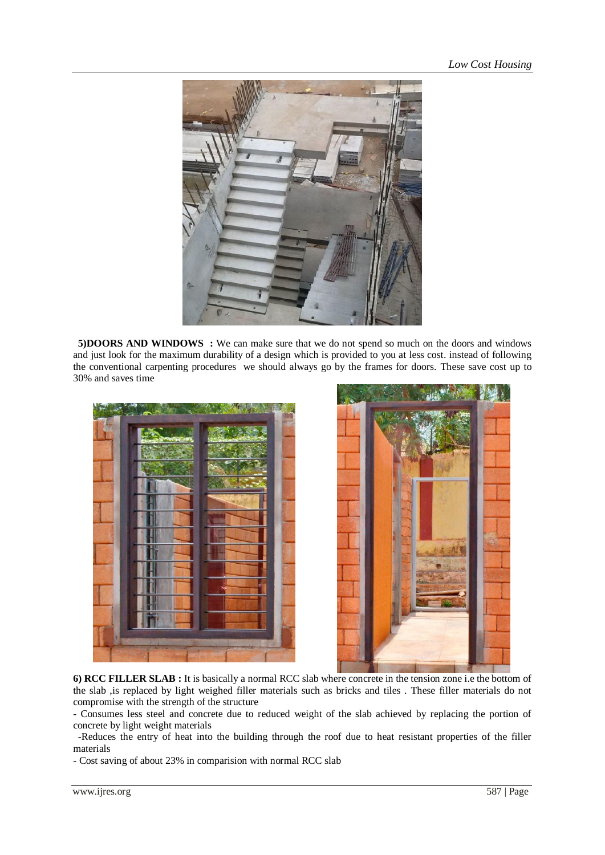

**5)DOORS AND WINDOWS** : We can make sure that we do not spend so much on the doors and windows and just look for the maximum durability of a design which is provided to you at less cost. instead of following the conventional carpenting procedures we should always go by the frames for doors. These save cost up to 30% and saves time





**6) RCC FILLER SLAB :** It is basically a normal RCC slab where concrete in the tension zone i.e the bottom of the slab ,is replaced by light weighed filler materials such as bricks and tiles . These filler materials do not compromise with the strength of the structure

- Consumes less steel and concrete due to reduced weight of the slab achieved by replacing the portion of concrete by light weight materials

 -Reduces the entry of heat into the building through the roof due to heat resistant properties of the filler materials

- Cost saving of about 23% in comparision with normal RCC slab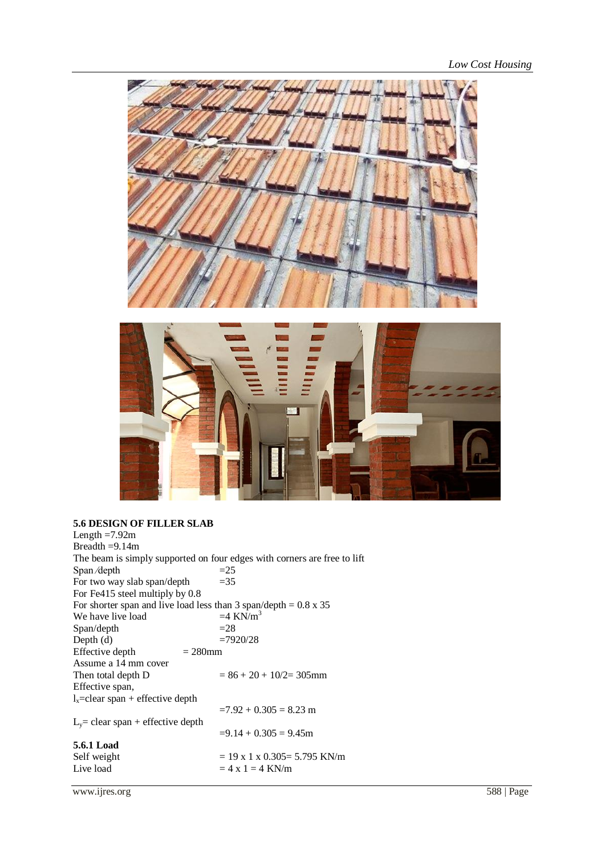

# **5.6 DESIGN OF FILLER SLAB**

| Length $=7.92m$                                                         |                                                                          |
|-------------------------------------------------------------------------|--------------------------------------------------------------------------|
| Breadth $=9.14m$                                                        |                                                                          |
|                                                                         | The beam is simply supported on four edges with corners are free to lift |
| Span/depth                                                              | $=25$                                                                    |
| For two way slab span/depth                                             | $=35$                                                                    |
| For Fe415 steel multiply by 0.8                                         |                                                                          |
| For shorter span and live load less than 3 span/depth = $0.8 \times 35$ |                                                                          |
| We have live load                                                       | $=4$ KN/m <sup>3</sup>                                                   |
| Span/depth                                                              | $=28$                                                                    |
| Depth $(d)$                                                             | $=7920/28$                                                               |
| Effective depth<br>$= 280$ mm                                           |                                                                          |
| Assume a 14 mm cover                                                    |                                                                          |
| Then total depth D                                                      | $= 86 + 20 + 10/2 = 305$ mm                                              |
| Effective span,                                                         |                                                                          |
| $l_{x}$ =clear span + effective depth                                   |                                                                          |
|                                                                         | $=7.92 + 0.305 = 8.23$ m                                                 |
| $L_v$ = clear span + effective depth                                    |                                                                          |
|                                                                         | $=9.14 + 0.305 = 9.45$ m                                                 |
| 5.6.1 Load                                                              |                                                                          |
| Self weight                                                             | $= 19 \times 1 \times 0.305 = 5.795$ KN/m                                |
| Live load                                                               | $= 4 x 1 = 4$ KN/m                                                       |
|                                                                         |                                                                          |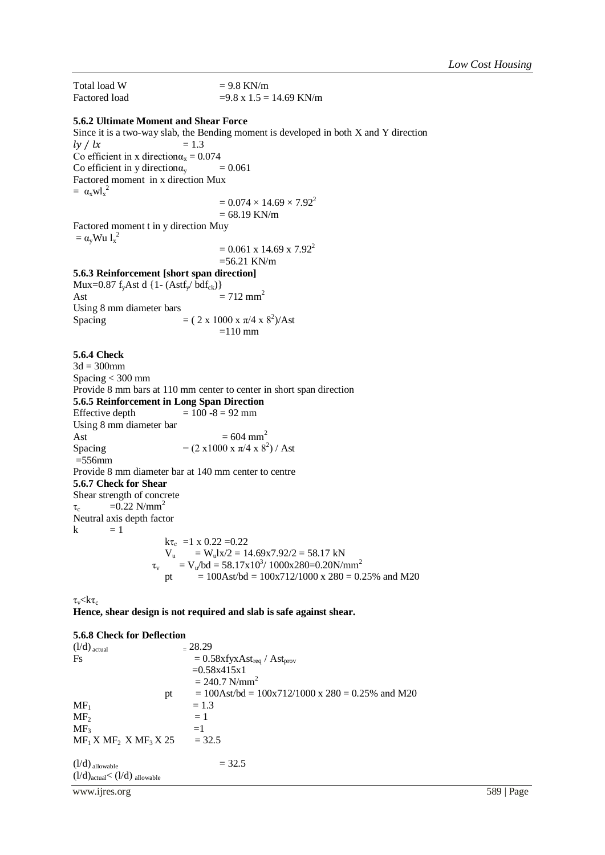Total load W  $= 9.8$  KN/m Factored load  $=9.8 \times 1.5 = 14.69 \text{ KN/m}$ **5.6.2 Ultimate Moment and Shear Force** Since it is a two-way slab, the Bending moment is developed in both X and Y direction  $\frac{dy}{dx} = 1.3$ Co efficient in x direction $\alpha_x = 0.074$ <br>Co efficient in y direction $\alpha_y = 0.061$ Co efficient in y direction $\alpha$ <sub>v</sub> Factored moment in x direction Mux  $= \alpha_x w l_x^2$  $= 0.074 \times 14.69 \times 7.92^2$  $= 68.19$  KN/m Factored moment t in y direction Muy  $= \alpha_{\rm y}$ Wu  $l_{\rm x}^2$  $= 0.061$  x 14.69 x 7.92<sup>2</sup>  $=56.21$  KN/m **5.6.3 Reinforcement [short span direction]** Mux=0.87 f<sub>y</sub>Ast d {1- (Astf<sub>y</sub>/  $\text{bdf}_{ck}$ )} Ast  $= 712 \text{ mm}^2$ Using 8 mm diameter bars Spacing  $= (2 \times 1000 \times \pi/4 \times 8^2)/$ Ast  $=110$  mm **5.6.4 Check**  $3d = 300$ mm Spacing < 300 mm Provide 8 mm bars at 110 mm center to center in short span direction **5.6.5 Reinforcement in Long Span Direction** Effective depth  $= 100 - 8 = 92$  mm Using 8 mm diameter bar Ast  $= 604 \text{ mm}^2$ Spacing  $= (2 \times 1000 \times \pi/4 \times 8^2) /$  Ast  $=556$ mm Provide 8 mm diameter bar at 140 mm center to centre **5.6.7 Check for Shear** Shear strength of concrete  $\tau_c$  =0.22 N/mm<sup>2</sup> Neutral axis depth factor  $k = 1$  $k\tau_c$  =1 x 0.22 =0.22  $V_u$  = W<sub>u</sub>lx/2 = 14.69x7.92/2 = 58.17 kN  $\tau_v$  = V<sub>u</sub>/bd = 58.17x10<sup>3</sup>/ 1000x280=0.20N/mm<sup>2</sup> pt  $= 100 \text{Ast/bd} = 100 \text{x} \cdot 712/1000 \text{ x } 280 = 0.25\%$  and M20  $\tau_{\rm v}$   $\!\!<$   $\!k\tau_{\rm c}$ **Hence, shear design is not required and slab is safe against shear.**

#### **5.6.8 Check for Deflection**

| $(l/d)$ actual                                                                  | $-28.29$                                                                            |
|---------------------------------------------------------------------------------|-------------------------------------------------------------------------------------|
| <b>Fs</b>                                                                       | $= 0.58$ xfyxAst <sub>req</sub> / Ast <sub>prov</sub>                               |
|                                                                                 | $=0.58x415x1$                                                                       |
|                                                                                 | $= 240.7$ N/mm <sup>2</sup>                                                         |
| pt                                                                              | $= 100 \text{Ast/bd} = 100 \text{x} \cdot 712/1000 \text{ x } 280 = 0.25\%$ and M20 |
| $MF_1$                                                                          | $= 1.3$                                                                             |
| MF <sub>2</sub>                                                                 | $=1$                                                                                |
| MF <sub>3</sub>                                                                 | $=1$                                                                                |
| $MF_1 X MF_2 X MF_3 X 25$                                                       | $= 32.5$                                                                            |
| $(l/d)$ allowable<br>$(l/d)$ <sub>actual</sub> $<$ $(l/d)$ <sub>allowable</sub> | $= 32.5$                                                                            |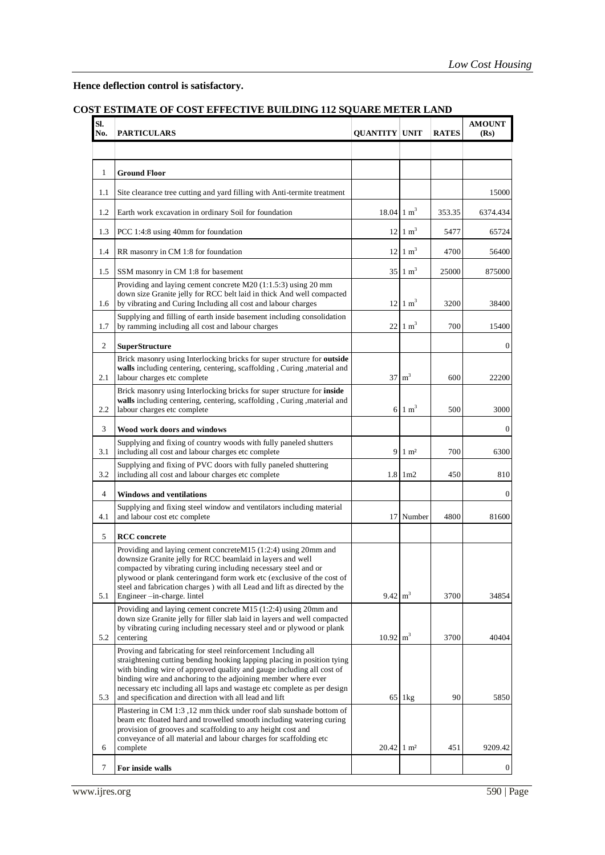**Hence deflection control is satisfactory.**

### **COST ESTIMATE OF COST EFFECTIVE BUILDING 112 SQUARE METER LAND**

| SI.<br>No.     | <b>PARTICULARS</b>                                                                                                                                                                                                                                                                                                                                                                                                      | <b>QUANTITY UNIT</b>       |                         | <b>RATES</b> | <b>AMOUNT</b><br>(Rs) |
|----------------|-------------------------------------------------------------------------------------------------------------------------------------------------------------------------------------------------------------------------------------------------------------------------------------------------------------------------------------------------------------------------------------------------------------------------|----------------------------|-------------------------|--------------|-----------------------|
|                |                                                                                                                                                                                                                                                                                                                                                                                                                         |                            |                         |              |                       |
| $\mathbf{1}$   | <b>Ground Floor</b>                                                                                                                                                                                                                                                                                                                                                                                                     |                            |                         |              |                       |
| 1.1            | Site clearance tree cutting and yard filling with Anti-termite treatment                                                                                                                                                                                                                                                                                                                                                |                            |                         |              | 15000                 |
| 1.2            | Earth work excavation in ordinary Soil for foundation                                                                                                                                                                                                                                                                                                                                                                   | $18.04 \text{ 1 m}^3$      |                         | 353.35       | 6374.434              |
| 1.3            | PCC 1:4:8 using 40mm for foundation                                                                                                                                                                                                                                                                                                                                                                                     |                            | $12 \mid 1 \text{ m}^3$ | 5477         | 65724                 |
| 1.4            | RR masonry in CM 1:8 for foundation                                                                                                                                                                                                                                                                                                                                                                                     |                            | $12 \mid 1 \text{ m}^3$ | 4700         | 56400                 |
| 1.5            | SSM masonry in CM 1:8 for basement                                                                                                                                                                                                                                                                                                                                                                                      |                            | $35 \,   1 \, m^3$      | 25000        | 875000                |
| 1.6            | Providing and laying cement concrete M20 (1:1.5:3) using 20 mm<br>down size Granite jelly for RCC belt laid in thick And well compacted<br>by vibrating and Curing Including all cost and labour charges                                                                                                                                                                                                                |                            | $12 \mid 1 \text{ m}^3$ | 3200         | 38400                 |
| 1.7            | Supplying and filling of earth inside basement including consolidation<br>by ramming including all cost and labour charges                                                                                                                                                                                                                                                                                              | 22                         | $1 \text{ m}^3$         | 700          | 15400                 |
| 2              | <b>SuperStructure</b>                                                                                                                                                                                                                                                                                                                                                                                                   |                            |                         |              | $\mathbf{0}$          |
| 2.1            | Brick masonry using Interlocking bricks for super structure for outside<br>walls including centering, centering, scaffolding, Curing, material and<br>labour charges etc complete                                                                                                                                                                                                                                       |                            | $37 \text{ m}^3$        | 600          | 22200                 |
| 2.2            | Brick masonry using Interlocking bricks for super structure for inside<br>walls including centering, centering, scaffolding, Curing, material and<br>labour charges etc complete                                                                                                                                                                                                                                        |                            | $6 \mid 1 \text{ m}^3$  | 500          | 3000                  |
| 3              | Wood work doors and windows                                                                                                                                                                                                                                                                                                                                                                                             |                            |                         |              | $\boldsymbol{0}$      |
| 3.1            | Supplying and fixing of country woods with fully paneled shutters<br>including all cost and labour charges etc complete                                                                                                                                                                                                                                                                                                 | 9                          | $1 \text{ m}^2$         | 700          | 6300                  |
| 3.2            | Supplying and fixing of PVC doors with fully paneled shuttering                                                                                                                                                                                                                                                                                                                                                         |                            |                         |              |                       |
| $\overline{4}$ | including all cost and labour charges etc complete<br><b>Windows and ventilations</b>                                                                                                                                                                                                                                                                                                                                   |                            | $1.8$ 1 m <sup>2</sup>  | 450          | 810<br>$\mathbf{0}$   |
| 4.1            | Supplying and fixing steel window and ventilators including material<br>and labour cost etc complete                                                                                                                                                                                                                                                                                                                    |                            | 17 Number               | 4800         | 81600                 |
| 5              | <b>RCC</b> concrete                                                                                                                                                                                                                                                                                                                                                                                                     |                            |                         |              |                       |
| 5.1            | Providing and laying cement concreteM15 (1:2:4) using 20mm and<br>downsize Granite jelly for RCC beamlaid in layers and well<br>compacted by vibrating curing including necessary steel and or<br>plywood or plank centeringand form work etc (exclusive of the cost of<br>steel and fabrication charges) with all Lead and lift as directed by the<br>Engineer -in-charge. lintel                                      | $9.42 \text{ m}^3$         |                         | 3700         | 34854                 |
| 5.2            | Providing and laying cement concrete M15 (1:2:4) using 20mm and<br>down size Granite jelly for filler slab laid in layers and well compacted<br>by vibrating curing including necessary steel and or plywood or plank<br>centering                                                                                                                                                                                      | $10.92 \text{ m}^3$        |                         | 3700         | 40404                 |
| 5.3            | Proving and fabricating for steel reinforcement 1ncluding all<br>straightening cutting bending hooking lapping placing in position tying<br>with binding wire of approved quality and gauge including all cost of<br>binding wire and anchoring to the adjoining member where ever<br>necessary etc including all laps and wastage etc complete as per design<br>and specification and direction with all lead and lift |                            | 65 lkg                  | 90           | 5850                  |
| 6              | Plastering in CM 1:3 ,12 mm thick under roof slab sunshade bottom of<br>beam etc floated hard and trowelled smooth including watering curing<br>provision of grooves and scaffolding to any height cost and<br>conveyance of all material and labour charges for scaffolding etc<br>complete                                                                                                                            | $20.42 \mid 1 \text{ m}^2$ |                         | 451          | 9209.42               |
| 7              | For inside walls                                                                                                                                                                                                                                                                                                                                                                                                        |                            |                         |              | 0                     |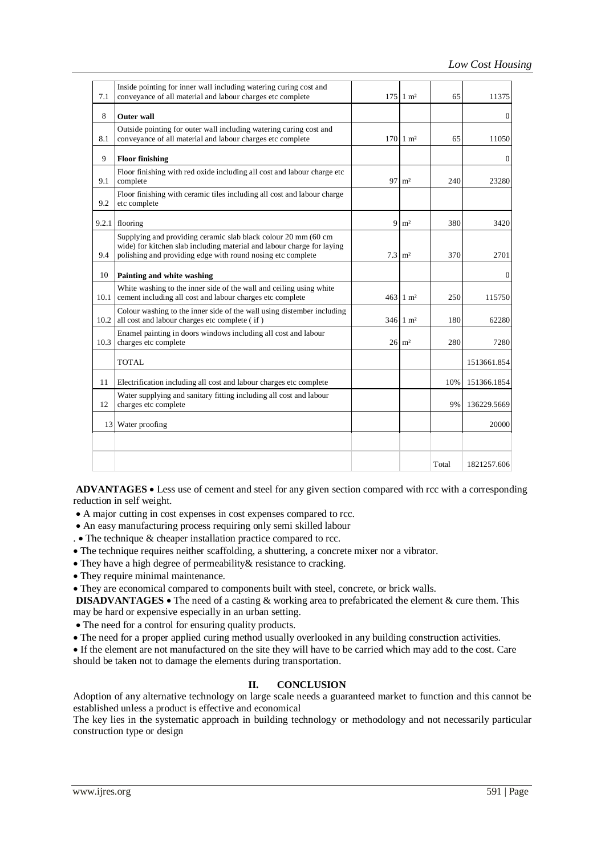| 7.1   | Inside pointing for inner wall including watering curing cost and<br>conveyance of all material and labour charges etc complete                                                                         |                   | $175 \mid 1 \text{ m}^2$     | 65    | 11375        |
|-------|---------------------------------------------------------------------------------------------------------------------------------------------------------------------------------------------------------|-------------------|------------------------------|-------|--------------|
| 8     | <b>Outer wall</b>                                                                                                                                                                                       |                   |                              |       | 0            |
| 8.1   | Outside pointing for outer wall including watering curing cost and<br>conveyance of all material and labour charges etc complete                                                                        |                   | $170 \, \text{m}^2$          | 65    | 11050        |
| 9     | <b>Floor finishing</b>                                                                                                                                                                                  |                   |                              |       | 0            |
| 9.1   | Floor finishing with red oxide including all cost and labour charge etc<br>complete                                                                                                                     |                   | $97 \text{ m}^2$             | 240   | 23280        |
| 9.2   | Floor finishing with ceramic tiles including all cost and labour charge<br>etc complete                                                                                                                 |                   |                              |       |              |
| 9.2.1 | flooring                                                                                                                                                                                                |                   | $9 \text{ m}^2$              | 380   | 3420         |
| 9.4   | Supplying and providing ceramic slab black colour 20 mm (60 cm<br>wide) for kitchen slab including material and labour charge for laying<br>polishing and providing edge with round nosing etc complete | $7.3 \text{ m}^2$ |                              | 370   | 2701         |
| 10    | Painting and white washing                                                                                                                                                                              |                   |                              |       | $\mathbf{0}$ |
| 10.1  | White washing to the inner side of the wall and ceiling using white<br>cement including all cost and labour charges etc complete                                                                        |                   | $463 \text{ } 1 \text{ m}^2$ | 250   | 115750       |
| 10.2  | Colour washing to the inner side of the wall using distember including<br>all cost and labour charges etc complete (if)                                                                                 |                   | $346 \, 1 \, \text{m}^2$     | 180   | 62280        |
| 10.3  | Enamel painting in doors windows including all cost and labour<br>charges etc complete                                                                                                                  |                   | $26 \text{ m}^2$             | 280   | 7280         |
|       | <b>TOTAL</b>                                                                                                                                                                                            |                   |                              |       | 1513661.854  |
| 11    | Electrification including all cost and labour charges etc complete                                                                                                                                      |                   |                              | 10%   | 151366.1854  |
| 12    | Water supplying and sanitary fitting including all cost and labour<br>charges etc complete                                                                                                              |                   |                              | 9%    | 136229.5669  |
| 13    | Water proofing                                                                                                                                                                                          |                   |                              |       | 20000        |
|       |                                                                                                                                                                                                         |                   |                              |       |              |
|       |                                                                                                                                                                                                         |                   |                              | Total | 1821257.606  |

**ADVANTAGES**  Less use of cement and steel for any given section compared with rcc with a corresponding reduction in self weight.

- A major cutting in cost expenses in cost expenses compared to rcc.
- An easy manufacturing process requiring only semi skilled labour
- .  $\bullet$  The technique  $\&$  cheaper installation practice compared to rcc.
- The technique requires neither scaffolding, a shuttering, a concrete mixer nor a vibrator.
- They have a high degree of permeability& resistance to cracking.
- They require minimal maintenance.
- They are economical compared to components built with steel, concrete, or brick walls.

**DISADVANTAGES** • The need of a casting & working area to prefabricated the element & cure them. This may be hard or expensive especially in an urban setting.

- The need for a control for ensuring quality products.
- The need for a proper applied curing method usually overlooked in any building construction activities.

 If the element are not manufactured on the site they will have to be carried which may add to the cost. Care should be taken not to damage the elements during transportation.

#### **II. CONCLUSION**

Adoption of any alternative technology on large scale needs a guaranteed market to function and this cannot be established unless a product is effective and economical

The key lies in the systematic approach in building technology or methodology and not necessarily particular construction type or design